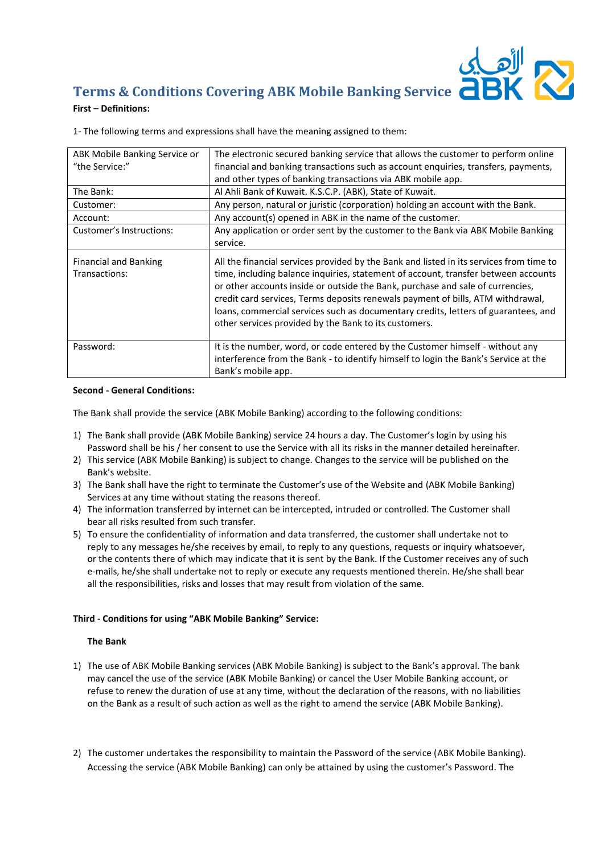# **Terms & Conditions Covering ABK Mobile Banking Service**

# **First – Definitions:**

1- The following terms and expressions shall have the meaning assigned to them:

| ABK Mobile Banking Service or                 | The electronic secured banking service that allows the customer to perform online                                                                                                                                                                                                                                                                                                                                                                                                                 |
|-----------------------------------------------|---------------------------------------------------------------------------------------------------------------------------------------------------------------------------------------------------------------------------------------------------------------------------------------------------------------------------------------------------------------------------------------------------------------------------------------------------------------------------------------------------|
| "the Service:"                                | financial and banking transactions such as account enquiries, transfers, payments,                                                                                                                                                                                                                                                                                                                                                                                                                |
|                                               | and other types of banking transactions via ABK mobile app.                                                                                                                                                                                                                                                                                                                                                                                                                                       |
| The Bank:                                     | Al Ahli Bank of Kuwait. K.S.C.P. (ABK), State of Kuwait.                                                                                                                                                                                                                                                                                                                                                                                                                                          |
| Customer:                                     | Any person, natural or juristic (corporation) holding an account with the Bank.                                                                                                                                                                                                                                                                                                                                                                                                                   |
| Account:                                      | Any account(s) opened in ABK in the name of the customer.                                                                                                                                                                                                                                                                                                                                                                                                                                         |
| Customer's Instructions:                      | Any application or order sent by the customer to the Bank via ABK Mobile Banking                                                                                                                                                                                                                                                                                                                                                                                                                  |
|                                               | service.                                                                                                                                                                                                                                                                                                                                                                                                                                                                                          |
| <b>Financial and Banking</b><br>Transactions: | All the financial services provided by the Bank and listed in its services from time to<br>time, including balance inquiries, statement of account, transfer between accounts<br>or other accounts inside or outside the Bank, purchase and sale of currencies,<br>credit card services, Terms deposits renewals payment of bills, ATM withdrawal,<br>loans, commercial services such as documentary credits, letters of guarantees, and<br>other services provided by the Bank to its customers. |
| Password:                                     | It is the number, word, or code entered by the Customer himself - without any<br>interference from the Bank - to identify himself to login the Bank's Service at the<br>Bank's mobile app.                                                                                                                                                                                                                                                                                                        |

## **Second - General Conditions:**

The Bank shall provide the service (ABK Mobile Banking) according to the following conditions:

- 1) The Bank shall provide (ABK Mobile Banking) service 24 hours a day. The Customer's login by using his Password shall be his / her consent to use the Service with all its risks in the manner detailed hereinafter.
- 2) This service (ABK Mobile Banking) is subject to change. Changes to the service will be published on the Bank's website.
- 3) The Bank shall have the right to terminate the Customer's use of the Website and (ABK Mobile Banking) Services at any time without stating the reasons thereof.
- 4) The information transferred by internet can be intercepted, intruded or controlled. The Customer shall bear all risks resulted from such transfer.
- 5) To ensure the confidentiality of information and data transferred, the customer shall undertake not to reply to any messages he/she receives by email, to reply to any questions, requests or inquiry whatsoever, or the contents there of which may indicate that it is sent by the Bank. If the Customer receives any of such e-mails, he/she shall undertake not to reply or execute any requests mentioned therein. He/she shall bear all the responsibilities, risks and losses that may result from violation of the same.

# **Third - Conditions for using "ABK Mobile Banking" Service:**

#### **The Bank**

- 1) The use of ABK Mobile Banking services (ABK Mobile Banking) is subject to the Bank's approval. The bank may cancel the use of the service (ABK Mobile Banking) or cancel the User Mobile Banking account, or refuse to renew the duration of use at any time, without the declaration of the reasons, with no liabilities on the Bank as a result of such action as well as the right to amend the service (ABK Mobile Banking).
- 2) The customer undertakes the responsibility to maintain the Password of the service (ABK Mobile Banking). Accessing the service (ABK Mobile Banking) can only be attained by using the customer's Password. The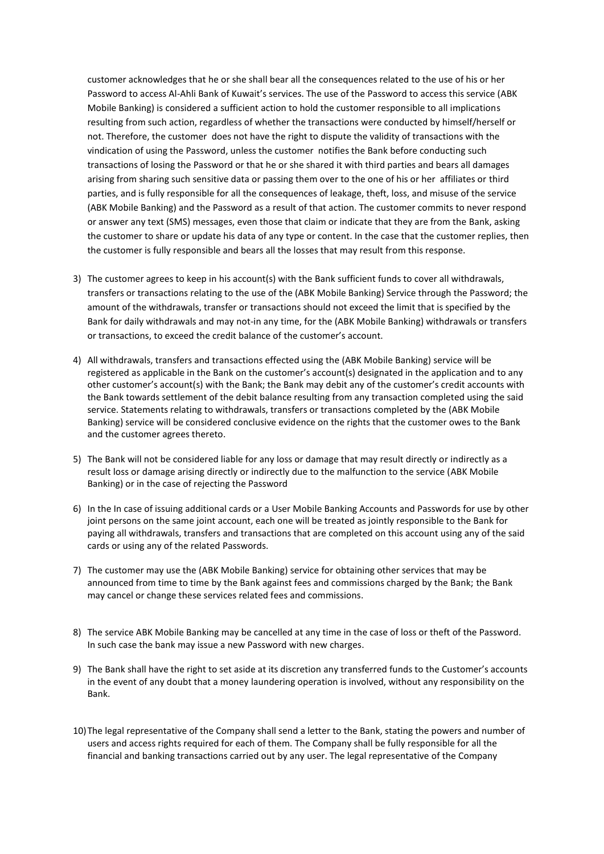customer acknowledges that he or she shall bear all the consequences related to the use of his or her Password to access Al-Ahli Bank of Kuwait's services. The use of the Password to access this service (ABK Mobile Banking) is considered a sufficient action to hold the customer responsible to all implications resulting from such action, regardless of whether the transactions were conducted by himself/herself or not. Therefore, the customer does not have the right to dispute the validity of transactions with the vindication of using the Password, unless the customer notifies the Bank before conducting such transactions of losing the Password or that he or she shared it with third parties and bears all damages arising from sharing such sensitive data or passing them over to the one of his or her affiliates or third parties, and is fully responsible for all the consequences of leakage, theft, loss, and misuse of the service (ABK Mobile Banking) and the Password as a result of that action. The customer commits to never respond or answer any text (SMS) messages, even those that claim or indicate that they are from the Bank, asking the customer to share or update his data of any type or content. In the case that the customer replies, then the customer is fully responsible and bears all the losses that may result from this response.

- 3) The customer agrees to keep in his account(s) with the Bank sufficient funds to cover all withdrawals, transfers or transactions relating to the use of the (ABK Mobile Banking) Service through the Password; the amount of the withdrawals, transfer or transactions should not exceed the limit that is specified by the Bank for daily withdrawals and may not-in any time, for the (ABK Mobile Banking) withdrawals or transfers or transactions, to exceed the credit balance of the customer's account.
- 4) All withdrawals, transfers and transactions effected using the (ABK Mobile Banking) service will be registered as applicable in the Bank on the customer's account(s) designated in the application and to any other customer's account(s) with the Bank; the Bank may debit any of the customer's credit accounts with the Bank towards settlement of the debit balance resulting from any transaction completed using the said service. Statements relating to withdrawals, transfers or transactions completed by the (ABK Mobile Banking) service will be considered conclusive evidence on the rights that the customer owes to the Bank and the customer agrees thereto.
- 5) The Bank will not be considered liable for any loss or damage that may result directly or indirectly as a result loss or damage arising directly or indirectly due to the malfunction to the service (ABK Mobile Banking) or in the case of rejecting the Password
- 6) In the In case of issuing additional cards or a User Mobile Banking Accounts and Passwords for use by other joint persons on the same joint account, each one will be treated as jointly responsible to the Bank for paying all withdrawals, transfers and transactions that are completed on this account using any of the said cards or using any of the related Passwords.
- 7) The customer may use the (ABK Mobile Banking) service for obtaining other services that may be announced from time to time by the Bank against fees and commissions charged by the Bank; the Bank may cancel or change these services related fees and commissions.
- 8) The service ABK Mobile Banking may be cancelled at any time in the case of loss or theft of the Password. In such case the bank may issue a new Password with new charges.
- 9) The Bank shall have the right to set aside at its discretion any transferred funds to the Customer's accounts in the event of any doubt that a money laundering operation is involved, without any responsibility on the Bank.
- 10)The legal representative of the Company shall send a letter to the Bank, stating the powers and number of users and access rights required for each of them. The Company shall be fully responsible for all the financial and banking transactions carried out by any user. The legal representative of the Company